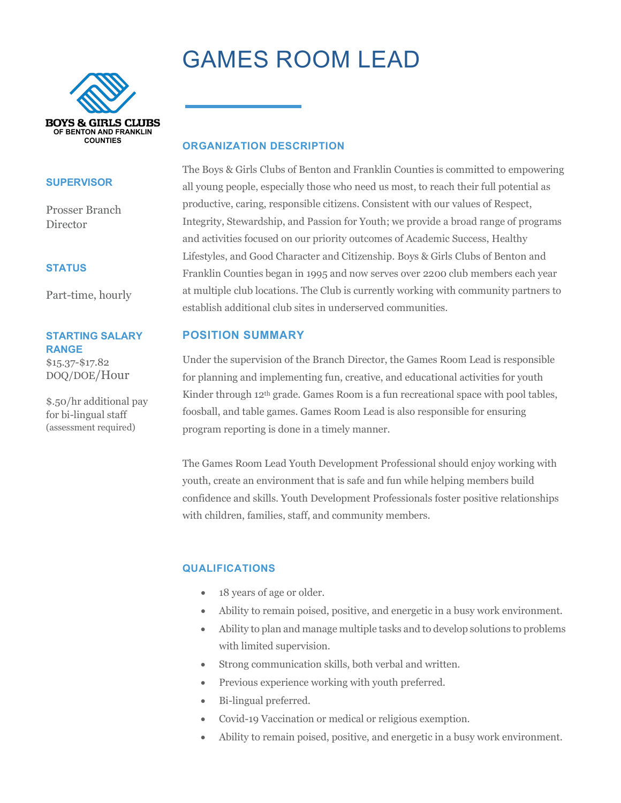# GAMES ROOM LEAD



#### **SUPERVISOR**

Prosser Branch **Director** 

#### **STATUS**

Part-time, hourly

#### **STARTING SALARY RANGE**

\$15.37-\$17.82 DOQ/DOE/Hour

\$.50/hr additional pay for bi-lingual staff (assessment required)

#### **ORGANIZATION DESCRIPTION**

The Boys & Girls Clubs of Benton and Franklin Counties is committed to empowering all young people, especially those who need us most, to reach their full potential as productive, caring, responsible citizens. Consistent with our values of Respect, Integrity, Stewardship, and Passion for Youth; we provide a broad range of programs and activities focused on our priority outcomes of Academic Success, Healthy Lifestyles, and Good Character and Citizenship. Boys & Girls Clubs of Benton and Franklin Counties began in 1995 and now serves over 2200 club members each year at multiple club locations. The Club is currently working with community partners to establish additional club sites in underserved communities.

### **POSITION SUMMARY**

Under the supervision of the Branch Director, the Games Room Lead is responsible for planning and implementing fun, creative, and educational activities for youth Kinder through 12th grade. Games Room is a fun recreational space with pool tables, foosball, and table games. Games Room Lead is also responsible for ensuring program reporting is done in a timely manner.

The Games Room Lead Youth Development Professional should enjoy working with youth, create an environment that is safe and fun while helping members build confidence and skills. Youth Development Professionals foster positive relationships with children, families, staff, and community members.

### **QUALIFICATIONS**

- 18 years of age or older.
- Ability to remain poised, positive, and energetic in a busy work environment.
- Ability to plan and manage multiple tasks and to develop solutions to problems with limited supervision.
- Strong communication skills, both verbal and written.
- Previous experience working with youth preferred.
- Bi-lingual preferred.
- Covid-19 Vaccination or medical or religious exemption.
- Ability to remain poised, positive, and energetic in a busy work environment.